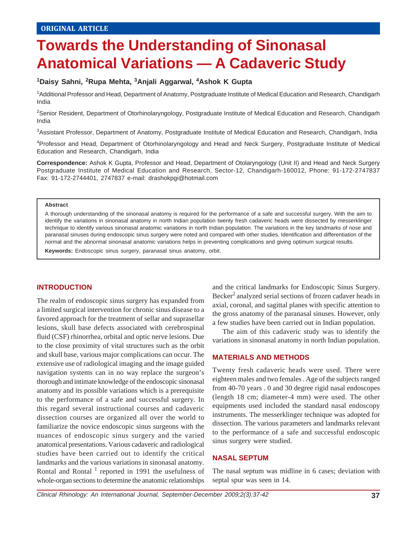# **Towards the Understanding of Sinonasal Anatomical Variations — A Cadaveric Study**

## **1Daisy Sahni, 2Rupa Mehta, 3Anjali Aggarwal, 4Ashok K Gupta**

<sup>1</sup>Additional Professor and Head, Department of Anatomy, Postgraduate Institute of Medical Education and Research, Chandigarh India

<sup>2</sup>Senior Resident, Department of Otorhinolaryngology, Postgraduate Institute of Medical Education and Research, Chandigarh India

3 Assistant Professor, Department of Anatomy, Postgraduate Institute of Medical Education and Research, Chandigarh, India

4 Professor and Head, Department of Otorhinolaryngology and Head and Neck Surgery, Postgraduate Institute of Medical Education and Research, Chandigarh, India

**Correspondence:** Ashok K Gupta, Professor and Head, Department of Otolaryngology (Unit II) and Head and Neck Surgery Postgraduate Institute of Medical Education and Research, Sector-12, Chandigarh-160012, Phone: 91-172-2747837 Fax: 91-172-2744401, 2747837 e-mail: drashokpgi@hotmail.com

#### **Abstract**

A thorough understanding of the sinonasal anatomy is required for the performance of a safe and successful surgery. With the aim to identify the variations in sinonasal anatomy in north Indian population twenty fresh cadaveric heads were dissected by messerklinger technique to identify various sinonasal anatomic variations in north Indian population. The variations in the key landmarks of nose and paranasal sinuses during endoscopic sinus surgery were noted and compared with other studies. Identification and differentiation of the normal and the abnormal sinonasal anatomic variations helps in preventing complications and giving optimum surgical results.

**Keywords:** Endoscopic sinus surgery, paranasal sinus anatomy, orbit.

#### **INTRODUCTION**

The realm of endoscopic sinus surgery has expanded from a limited surgical intervention for chronic sinus disease to a favored approach for the treatment of sellar and suprasellar lesions, skull base defects associated with cerebrospinal fluid (CSF) rhinorrhea, orbital and optic nerve lesions. Due to the close proximity of vital structures such as the orbit and skull base, various major complications can occur. The extensive use of radiological imaging and the image guided navigation systems can in no way replace the surgeon's thorough and intimate knowledge of the endoscopic sinonasal anatomy and its possible variations which is a prerequisite to the performance of a safe and successful surgery. In this regard several instructional courses and cadaveric dissection courses are organized all over the world to familiarize the novice endoscopic sinus surgeons with the nuances of endoscopic sinus surgery and the varied anatomical presentations. Various cadaveric and radiological studies have been carried out to identify the critical landmarks and the various variations in sinonasal anatomy. Rontal and Rontal  $<sup>1</sup>$  reported in 1991 the usefulness of</sup> whole-organ sections to determine the anatomic relationships

and the critical landmarks for Endoscopic Sinus Surgery. Becker<sup>2</sup> analyzed serial sections of frozen cadaver heads in axial, coronal, and sagittal planes with specific attention to the gross anatomy of the paranasal sinuses. However, only a few studies have been carried out in Indian population.

The aim of this cadaveric study was to identify the variations in sinonasal anatomy in north Indian population.

#### **MATERIALS AND METHODS**

Twenty fresh cadaveric heads were used. There were eighteen males and two females . Age of the subjects ranged from 40-70 years . 0 and 30 degree rigid nasal endoscopes (length 18 cm; diameter-4 mm) were used. The other equipments used included the standard nasal endoscopy instruments. The messerklinger technique was adopted for dissection. The various parameters and landmarks relevant to the performance of a safe and successful endoscopic sinus surgery were studied.

#### **NASAL SEPTUM**

The nasal septum was midline in 6 cases; deviation with septal spur was seen in 14.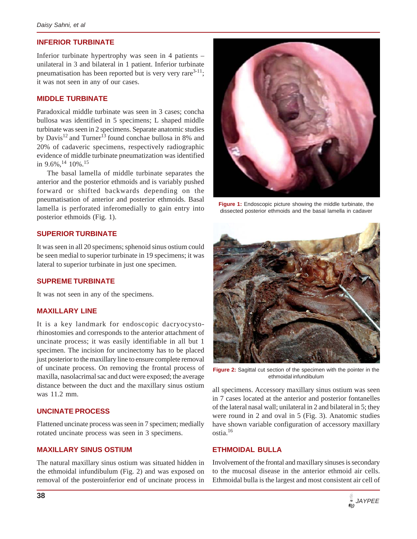## **INFERIOR TURBINATE**

Inferior turbinate hypertrophy was seen in 4 patients – unilateral in 3 and bilateral in 1 patient. Inferior turbinate pneumatisation has been reported but is very very rare<sup>3-11</sup>; it was not seen in any of our cases.

#### **MIDDLE TURBINATE**

Paradoxical middle turbinate was seen in 3 cases; concha bullosa was identified in 5 specimens; L shaped middle turbinate was seen in 2 specimens. Separate anatomic studies by Davis<sup>12</sup> and Turner<sup>13</sup> found conchae bullosa in 8% and 20% of cadaveric specimens, respectively radiographic evidence of middle turbinate pneumatization was identified in  $9.6\%$ , <sup>14</sup> 10%.<sup>15</sup>

The basal lamella of middle turbinate separates the anterior and the posterior ethmoids and is variably pushed forward or shifted backwards depending on the pneumatisation of anterior and posterior ethmoids. Basal lamella is perforated inferomedially to gain entry into posterior ethmoids (Fig. 1).

#### **SUPERIOR TURBINATE**

It was seen in all 20 specimens; sphenoid sinus ostium could be seen medial to superior turbinate in 19 specimens; it was lateral to superior turbinate in just one specimen.

## **SUPREME TURBINATE**

It was not seen in any of the specimens.

## **MAXILLARY LINE**

It is a key landmark for endoscopic dacryocystorhinostomies and corresponds to the anterior attachment of uncinate process; it was easily identifiable in all but 1 specimen. The incision for uncinectomy has to be placed just posterior to the maxillary line to ensure complete removal of uncinate process. On removing the frontal process of maxilla, nasolacrimal sac and duct were exposed; the average distance between the duct and the maxillary sinus ostium was 11.2 mm.

#### **UNCINATE PROCESS**

Flattened uncinate process was seen in 7 specimen; medially rotated uncinate process was seen in 3 specimens.

## **MAXILLARY SINUS OSTIUM**

The natural maxillary sinus ostium was situated hidden in the ethmoidal infundibulum (Fig. 2) and was exposed on removal of the posteroinferior end of uncinate process in



**Figure 1:** Endoscopic picture showing the middle turbinate, the dissected posterior ethmoids and the basal lamella in cadaver



**Figure 2:** Sagittal cut section of the specimen with the pointer in the ethmoidal infundibulum

all specimens. Accessory maxillary sinus ostium was seen in 7 cases located at the anterior and posterior fontanelles of the lateral nasal wall; unilateral in 2 and bilateral in 5; they were round in 2 and oval in 5 (Fig. 3). Anatomic studies have shown variable configuration of accessory maxillary ostia.16

#### **ETHMOIDAL BULLA**

Involvement of the frontal and maxillary sinuses is secondary to the mucosal disease in the anterior ethmoid air cells. Ethmoidal bulla is the largest and most consistent air cell of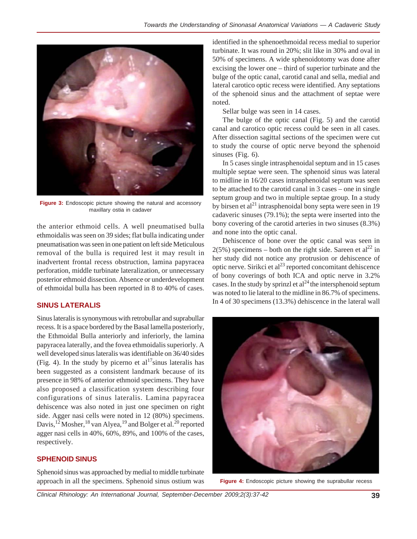

**Figure 3:** Endoscopic picture showing the natural and accessory maxillary ostia in cadaver

the anterior ethmoid cells. A well pneumatised bulla ethmoidalis was seen on 39 sides; flat bulla indicating under pneumatisation was seen in one patient on left side Meticulous removal of the bulla is required lest it may result in inadvertent frontal recess obstruction, lamina papyracea perforation, middle turbinate lateralization, or unnecessary posterior ethmoid dissection. Absence or underdevelopment of ethmoidal bulla has been reported in 8 to 40% of cases.

# **SINUS LATERALIS**

Sinus lateralis is synonymous with retrobullar and suprabullar recess. It is a space bordered by the Basal lamella posteriorly, the Ethmoidal Bulla anteriorly and inferiorly, the lamina papyracea laterally, and the fovea ethmoidalis superiorly. A well developed sinus lateralis was identifiable on 36/40 sides (Fig. 4). In the study by picerno et al<sup>17</sup>sinus lateralis has been suggested as a consistent landmark because of its presence in 98% of anterior ethmoid specimens. They have also proposed a classification system describing four configurations of sinus lateralis. Lamina papyracea dehiscence was also noted in just one specimen on right side. Agger nasi cells were noted in 12 (80%) specimens. Davis,<sup>12</sup> Mosher,<sup>18</sup> van Alyea,<sup>19</sup> and Bolger et al.<sup>20</sup> reported agger nasi cells in 40%, 60%, 89%, and 100% of the cases, respectively.

# **SPHENOID SINUS**

Sphenoid sinus was approached by medial to middle turbinate approach in all the specimens. Sphenoid sinus ostium was

identified in the sphenoethmoidal recess medial to superior turbinate. It was round in 20%; slit like in 30% and oval in 50% of specimens. A wide sphenoidotomy was done after excising the lower one – third of superior turbinate and the bulge of the optic canal, carotid canal and sella, medial and lateral carotico optic recess were identified. Any septations of the sphenoid sinus and the attachment of septae were noted.

Sellar bulge was seen in 14 cases.

The bulge of the optic canal (Fig. 5) and the carotid canal and carotico optic recess could be seen in all cases. After dissection sagittal sections of the specimen were cut to study the course of optic nerve beyond the sphenoid sinuses (Fig. 6).

In 5 cases single intrasphenoidal septum and in 15 cases multiple septae were seen. The sphenoid sinus was lateral to midline in 16/20 cases intrasphenoidal septum was seen to be attached to the carotid canal in 3 cases – one in single septum group and two in multiple septae group. In a study by birsen et al<sup>21</sup> intrasphenoidal bony septa were seen in 19 cadaveric sinuses (79.1%); the septa were inserted into the bony covering of the carotid arteries in two sinuses (8.3%) and none into the optic canal.

Dehiscence of bone over the optic canal was seen in  $2(5\%)$  specimens – both on the right side. Sareen et al<sup>22</sup> in her study did not notice any protrusion or dehiscence of optic nerve. Sirikci et  $al^{23}$  reported concomitant dehiscence of bony coverings of both ICA and optic nerve in 3.2% cases. In the study by sprinzl et  $al^{24}$  the intersphenoid septum was noted to lie lateral to the midline in 86.7% of specimens. In 4 of 30 specimens (13.3%) dehiscence in the lateral wall



**Figure 4:** Endoscopic picture showing the suprabullar recess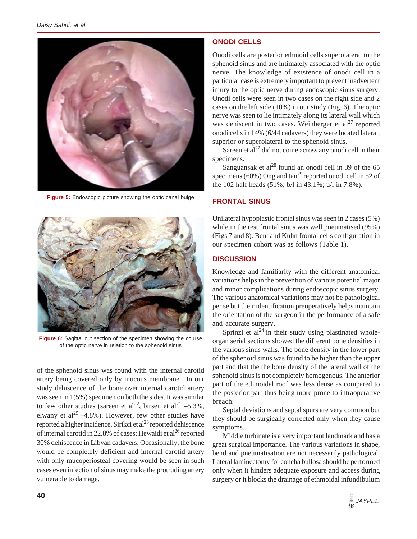

**Figure 5:** Endoscopic picture showing the optic canal bulge



**Figure 6:** Sagittal cut section of the specimen showing the course of the optic nerve in relation to the sphenoid sinus

of the sphenoid sinus was found with the internal carotid artery being covered only by mucous membrane . In our study dehiscence of the bone over internal carotid artery was seen in 1(5%) specimen on both the sides. It was similar to few other studies (sareen et al<sup>22</sup>, birsen et al<sup>21</sup> –5.3%, elwany et al<sup>25</sup> –4.8%). However, few other studies have reported a higher incidence. Sirikci et al<sup>23</sup> reported dehiscence of internal carotid in 22.8% of cases; Hewaidi et  $al^{26}$  reported 30% dehiscence in Libyan cadavers. Occasionally, the bone would be completely deficient and internal carotid artery with only mucoperiosteal covering would be seen in such cases even infection of sinus may make the protruding artery vulnerable to damage.

# **ONODI CELLS**

Onodi cells are posterior ethmoid cells superolateral to the sphenoid sinus and are intimately associated with the optic nerve. The knowledge of existence of onodi cell in a particular case is extremely important to prevent inadvertent injury to the optic nerve during endoscopic sinus surgery. Onodi cells were seen in two cases on the right side and 2 cases on the left side (10%) in our study (Fig. 6). The optic nerve was seen to lie intimately along its lateral wall which was dehiscent in two cases. Weinberger et  $al^{27}$  reported onodi cells in 14% (6/44 cadavers) they were located lateral, superior or superolateral to the sphenoid sinus.

Sareen et al<sup>22</sup> did not come across any onodi cell in their specimens.

Sanguansak et al $^{28}$  found an onodi cell in 39 of the 65 specimens (60%) Ong and  $\tan^{29}$  reported onodi cell in 52 of the 102 half heads (51%; b/l in 43.1%; u/l in 7.8%).

# **FRONTAL SINUS**

Unilateral hypoplastic frontal sinus was seen in 2 cases (5%) while in the rest frontal sinus was well pneumatised (95%) (Figs 7 and 8). Bent and Kuhn frontal cells configuration in our specimen cohort was as follows (Table 1).

# **DISCUSSION**

Knowledge and familiarity with the different anatomical variations helps in the prevention of various potential major and minor complications during endoscopic sinus surgery. The various anatomical variations may not be pathological per se but their identification preoperatively helps maintain the orientation of the surgeon in the performance of a safe and accurate surgery.

Sprinzl et  $al^{24}$  in their study using plastinated wholeorgan serial sections showed the different bone densities in the various sinus walls. The bone density in the lower part of the sphenoid sinus was found to be higher than the upper part and that the the bone density of the lateral wall of the sphenoid sinus is not completely homogenous. The anterior part of the ethmoidal roof was less dense as compared to the posterior part thus being more prone to intraoperative breach.

Septal deviations and septal spurs are very common but they should be surgically corrected only when they cause symptoms.

Middle turbinate is a very important landmark and has a great surgical importance. The various variations in shape, bend and pneumatisation are not necessarily pathological. Lateral laminectomy for concha bullosa should be performed only when it hinders adequate exposure and access during surgery or it blocks the drainage of ethmoidal infundibulum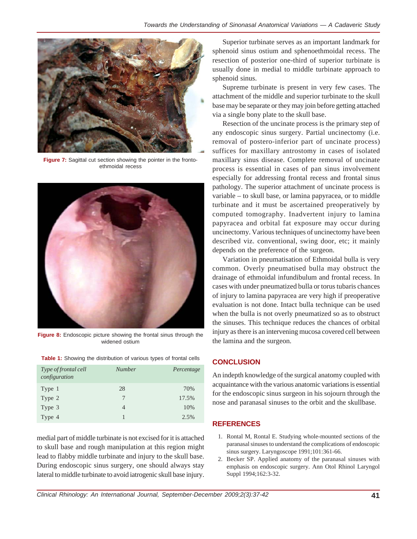

**Figure 7:** Sagittal cut section showing the pointer in the frontoethmoidal recess



**Figure 8:** Endoscopic picture showing the frontal sinus through the widened ostium

| <b>Table 1:</b> Showing the distribution of various types of frontal cells |
|----------------------------------------------------------------------------|
|----------------------------------------------------------------------------|

| Type of frontal cell<br>configuration | <b>Number</b>  | Percentage |
|---------------------------------------|----------------|------------|
| Type 1                                | 28             | 70%        |
| Type 2                                | 7              | 17.5%      |
| Type 3                                | $\overline{4}$ | 10%        |
| Type 4                                |                | 2.5%       |

medial part of middle turbinate is not excised for it is attached to skull base and rough manipulation at this region might lead to flabby middle turbinate and injury to the skull base. During endoscopic sinus surgery, one should always stay lateral to middle turbinate to avoid iatrogenic skull base injury.

Superior turbinate serves as an important landmark for sphenoid sinus ostium and sphenoethmoidal recess. The resection of posterior one-third of superior turbinate is usually done in medial to middle turbinate approach to sphenoid sinus.

Supreme turbinate is present in very few cases. The attachment of the middle and superior turbinate to the skull base may be separate or they may join before getting attached via a single bony plate to the skull base.

Resection of the uncinate process is the primary step of any endoscopic sinus surgery. Partial uncinectomy (i.e. removal of postero-inferior part of uncinate process) suffices for maxillary antrostomy in cases of isolated maxillary sinus disease. Complete removal of uncinate process is essential in cases of pan sinus involvement especially for addressing frontal recess and frontal sinus pathology. The superior attachment of uncinate process is variable – to skull base, or lamina papyracea, or to middle turbinate and it must be ascertained preoperatively by computed tomography. Inadvertent injury to lamina papyracea and orbital fat exposure may occur during uncinectomy. Various techniques of uncinectomy have been described viz. conventional, swing door, etc; it mainly depends on the preference of the surgeon.

Variation in pneumatisation of Ethmoidal bulla is very common. Overly pneumatised bulla may obstruct the drainage of ethmoidal infundibulum and frontal recess. In cases with under pneumatized bulla or torus tubaris chances of injury to lamina papyracea are very high if preoperative evaluation is not done. Intact bulla technique can be used when the bulla is not overly pneumatized so as to obstruct the sinuses. This technique reduces the chances of orbital injury as there is an intervening mucosa covered cell between the lamina and the surgeon.

## **CONCLUSION**

An indepth knowledge of the surgical anatomy coupled with acquaintance with the various anatomic variations is essential for the endoscopic sinus surgeon in his sojourn through the nose and paranasal sinuses to the orbit and the skullbase.

# **REFERENCES**

- 1. Rontal M, Rontal E. Studying whole-mounted sections of the paranasal sinuses to understand the complications of endoscopic sinus surgery. Laryngoscope 1991;101:361-66.
- 2. Becker SP. Applied anatomy of the paranasal sinuses with emphasis on endoscopic surgery. Ann Otol Rhinol Laryngol Suppl 1994;162:3-32.